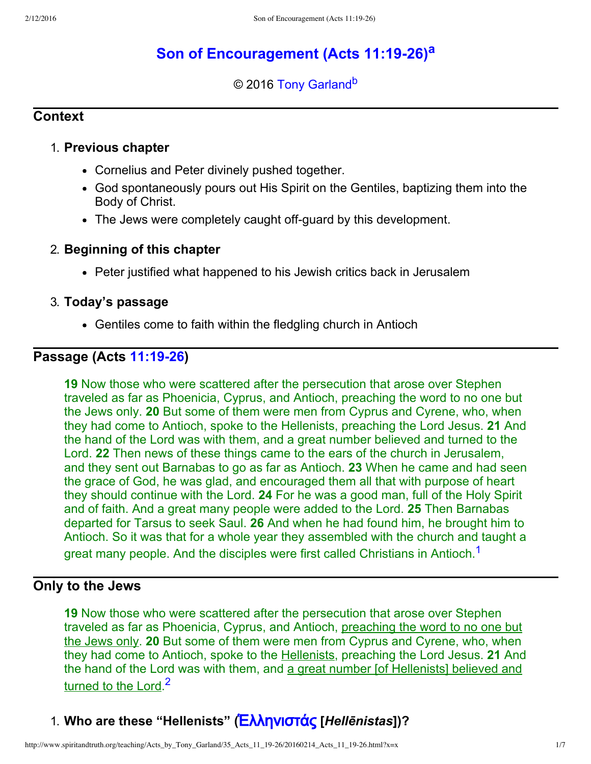# **[Son of Encouragement \(Acts 11:1926\)](http://www.spiritandtruth.org/teaching/Acts_by_Tony_Garland/35_Acts_11_19-26/index.htm)[a](#page-6-0)**

### <span id="page-0-3"></span><span id="page-0-2"></span>© 2016 [Tony Garland](http://www.spiritandtruth.org/id/tg.htm)<sup>[b](#page-6-1)</sup>

#### **Context**

#### 1. **Previous chapter**

- Cornelius and Peter divinely pushed together.
- God spontaneously pours out His Spirit on the Gentiles, baptizing them into the Body of Christ.
- The Jews were completely caught off-guard by this development.

#### 2. **Beginning of this chapter**

• Peter justified what happened to his Jewish critics back in Jerusalem

#### 3. **Today's passage**

Gentiles come to faith within the fledgling church in Antioch

### **Passage (Acts [11:1926\)](http://www.spiritandtruth.org/bibles/nasb/b44c011.htm#Acts_C11V19)**

**19** Now those who were scattered after the persecution that arose over Stephen traveled as far as Phoenicia, Cyprus, and Antioch, preaching the word to no one but the Jews only. **20** But some of them were men from Cyprus and Cyrene, who, when they had come to Antioch, spoke to the Hellenists, preaching the Lord Jesus. **21** And the hand of the Lord was with them, and a great number believed and turned to the Lord. **22** Then news of these things came to the ears of the church in Jerusalem, and they sent out Barnabas to go as far as Antioch. **23** When he came and had seen the grace of God, he was glad, and encouraged them all that with purpose of heart they should continue with the Lord. **24** For he was a good man, full of the Holy Spirit and of faith. And a great many people were added to the Lord. **25** Then Barnabas departed for Tarsus to seek Saul. **26** And when he had found him, he brought him to Antioch. So it was that for a whole year they assembled with the church and taught a great many people. And the disciples were first called Christians in Antioch.<sup>[1](#page-6-2)</sup>

# **Only to the Jews**

<span id="page-0-0"></span>**19** Now those who were scattered after the persecution that arose over Stephen traveled as far as Phoenicia, Cyprus, and Antioch, preaching the word to no one but the Jews only. **20** But some of them were men from Cyprus and Cyrene, who, when they had come to Antioch, spoke to the Hellenists, preaching the Lord Jesus. **21** And the hand of the Lord was with them, and a great number [of Hellenists] believed and turned to the Lord.<sup>[2](#page-6-3)</sup>

# <span id="page-0-1"></span>1. Who are these "Hellenists" (**Eλληνιστάς** [*Hellēnistas*])?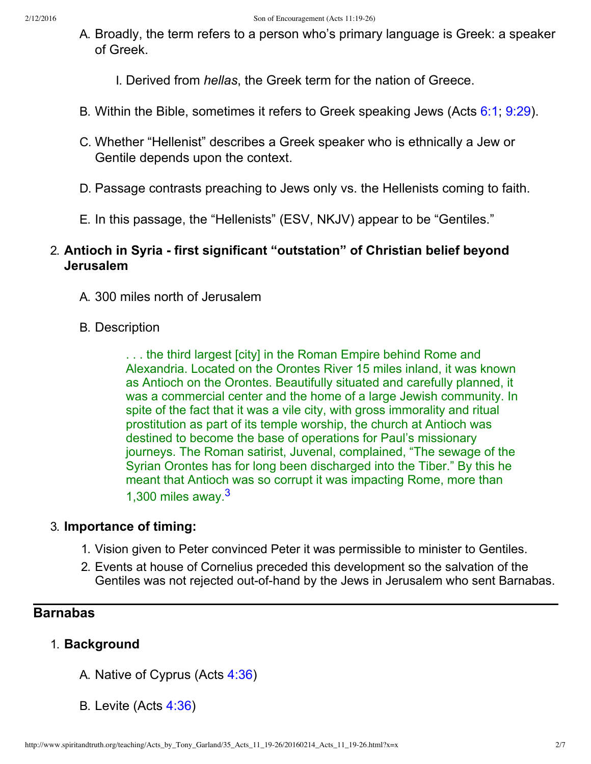A. Broadly, the term refers to a person who's primary language is Greek: a speaker of Greek.

I. Derived from *hellas*, the Greek term for the nation of Greece.

- B. Within the Bible, sometimes it refers to Greek speaking Jews (Acts [6:1;](http://www.spiritandtruth.org/bibles/nasb/b44c006.htm#Acts_C6V1) [9:29\)](http://www.spiritandtruth.org/bibles/nasb/b44c009.htm#Acts_C9V29).
- C. Whether "Hellenist" describes a Greek speaker who is ethnically a Jew or Gentile depends upon the context.
- D. Passage contrasts preaching to Jews only vs. the Hellenists coming to faith.
- E. In this passage, the "Hellenists" (ESV, NKJV) appear to be "Gentiles."

# 2. **Antioch in Syria first significant "outstation" of Christian belief beyond Jerusalem**

- A. 300 miles north of Jerusalem
- B. Description

. . . the third largest [city] in the Roman Empire behind Rome and Alexandria. Located on the Orontes River 15 miles inland, it was known as Antioch on the Orontes. Beautifully situated and carefully planned, it was a commercial center and the home of a large Jewish community. In spite of the fact that it was a vile city, with gross immorality and ritual prostitution as part of its temple worship, the church at Antioch was destined to become the base of operations for Paul's missionary journeys. The Roman satirist, Juvenal, complained, "The sewage of the Syrian Orontes has for long been discharged into the Tiber." By this he meant that Antioch was so corrupt it was impacting Rome, more than 1,300 miles away.[3](#page-6-4)

# 3. **Importance of timing:**

- <span id="page-1-0"></span>1. Vision given to Peter convinced Peter it was permissible to minister to Gentiles.
- 2. Events at house of Cornelius preceded this development so the salvation of the Gentiles was not rejected out-of-hand by the Jews in Jerusalem who sent Barnabas.

# **Barnabas**

# 1. **Background**

- A. Native of Cyprus (Acts [4:36\)](http://www.spiritandtruth.org/bibles/nasb/b44c004.htm#Acts_C4V36)
- B. Levite (Acts [4:36](http://www.spiritandtruth.org/bibles/nasb/b44c004.htm#Acts_C4V36))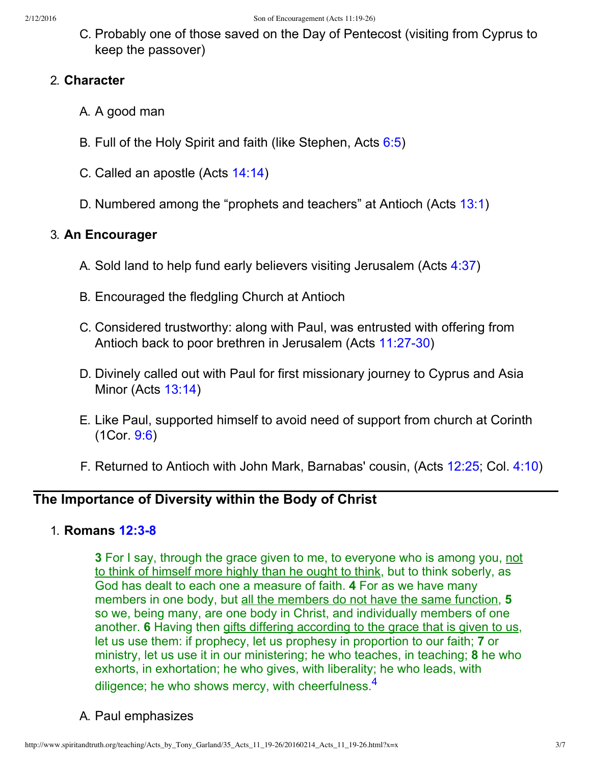C. Probably one of those saved on the Day of Pentecost (visiting from Cyprus to keep the passover)

#### 2. **Character**

- A. A good man
- B. Full of the Holy Spirit and faith (like Stephen, Acts [6:5\)](http://www.spiritandtruth.org/bibles/nasb/b44c006.htm#Acts_C6V5)
- C. Called an apostle (Acts [14:14\)](http://www.spiritandtruth.org/bibles/nasb/b44c014.htm#Acts_C14V14)
- D. Numbered among the "prophets and teachers" at Antioch (Acts [13:1\)](http://www.spiritandtruth.org/bibles/nasb/b44c013.htm#Acts_C13V1)

### 3. **An Encourager**

- A. Sold land to help fund early believers visiting Jerusalem (Acts [4:37\)](http://www.spiritandtruth.org/bibles/nasb/b44c004.htm#Acts_C4V37)
- B. Encouraged the fledgling Church at Antioch
- C. Considered trustworthy: along with Paul, was entrusted with offering from Antioch back to poor brethren in Jerusalem (Acts 11:27-30)
- D. Divinely called out with Paul for first missionary journey to Cyprus and Asia Minor (Acts [13:14\)](http://www.spiritandtruth.org/bibles/nasb/b44c013.htm#Acts_C13V14)
- E. Like Paul, supported himself to avoid need of support from church at Corinth (1Cor. [9:6](http://www.spiritandtruth.org/bibles/nasb/b46c009.htm#1Cor._C9V6))
- F. Returned to Antioch with John Mark, Barnabas' cousin, (Acts [12:25;](http://www.spiritandtruth.org/bibles/nasb/b44c012.htm#Acts_C12V25) Col. [4:10](http://www.spiritandtruth.org/bibles/nasb/b51c004.htm#Col._C4V10))

### **The Importance of Diversity within the Body of Christ**

#### 1. **Romans 12:3-8**

**3** For I say, through the grace given to me, to everyone who is among you, not to think of himself more highly than he ought to think, but to think soberly, as God has dealt to each one a measure of faith. **4** For as we have many members in one body, but all the members do not have the same function, **5** so we, being many, are one body in Christ, and individually members of one another. **6** Having then gifts differing according to the grace that is given to us, let us use them: if prophecy, let us prophesy in proportion to our faith; **7** or ministry, let us use it in our ministering; he who teaches, in teaching; **8** he who exhorts, in exhortation; he who gives, with liberality; he who leads, with diligence; he who shows mercy, with cheerfulness. $4$ 

<span id="page-2-0"></span>A. Paul emphasizes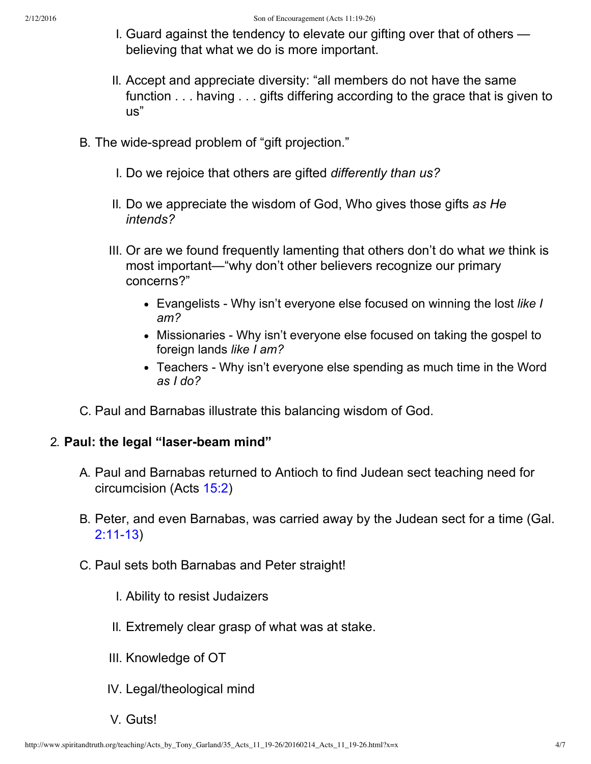- I. Guard against the tendency to elevate our gifting over that of others believing that what we do is more important.
- II. Accept and appreciate diversity: "all members do not have the same function . . . having . . . gifts differing according to the grace that is given to us"
- B. The wide-spread problem of "gift projection."
	- I. Do we rejoice that others are gifted *differently than us?*
	- II. Do we appreciate the wisdom of God, Who gives those gifts *as He intends?*
	- III. Or are we found frequently lamenting that others don't do what *we* think is most important—"why don't other believers recognize our primary concerns?"
		- Evangelists Why isn't everyone else focused on winning the lost *like I am?*
		- Missionaries Why isn't everyone else focused on taking the gospel to foreign lands *like I am?*
		- Teachers Why isn't everyone else spending as much time in the Word *as I do?*
- C. Paul and Barnabas illustrate this balancing wisdom of God.

### 2. **Paul: the legal "laser-beam mind"**

- A. Paul and Barnabas returned to Antioch to find Judean sect teaching need for circumcision (Acts [15:2\)](http://www.spiritandtruth.org/bibles/nasb/b44c015.htm#Acts_C15V2)
- B. Peter, and even Barnabas, was carried away by the Judean sect for a time (Gal.  $2:11-13$
- C. Paul sets both Barnabas and Peter straight!
	- I. Ability to resist Judaizers
	- II. Extremely clear grasp of what was at stake.
	- III. Knowledge of OT
	- IV. Legal/theological mind
	- V. Guts!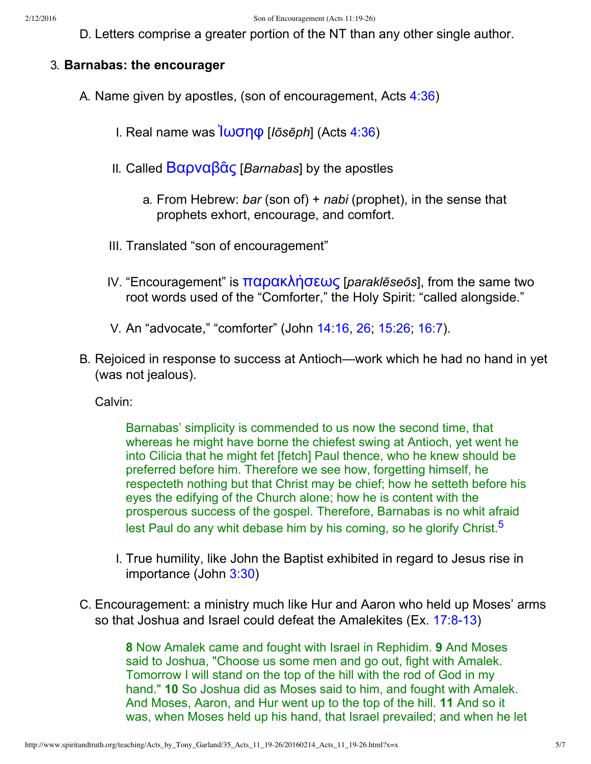D. Letters comprise a greater portion of the NT than any other single author.

### 3. **Barnabas: the encourager**

- A. Name given by apostles, (son of encouragement, Acts [4:36\)](http://www.spiritandtruth.org/bibles/nasb/b44c004.htm#Acts_C4V36)
	- I. Real name was <u>Ιωσηφ</u> [*Iōsēph*] (Acts [4:36](http://www.spiritandtruth.org/bibles/nasb/b44c004.htm#Acts_C4V36))
	- II. Called [Β˞ˮν˞˟ᾶ˯](http://www.spiritandtruth.org/fontsu/index.htm) [*Barnabas*] by the apostles
		- a. From Hebrew: *bar* (son of) + *nabi* (prophet), in the sense that prophets exhort, encourage, and comfort.
	- III. Translated "son of encouragement"
	- IV. "Encouragement" is **παρακλήσεως** [*paraklēseōs*], from the same two root words used of the "Comforter," the Holy Spirit: "called alongside."
	- V. An "advocate," "comforter" (John [14:16,](http://www.spiritandtruth.org/bibles/nasb/b43c014.htm#John_C14V16) [26](http://www.spiritandtruth.org/bibles/nasb/b43c014.htm#John_C14V26); [15:26;](http://www.spiritandtruth.org/bibles/nasb/b43c015.htm#John_C15V26) [16:7](http://www.spiritandtruth.org/bibles/nasb/b43c016.htm#John_C16V7)).
- B. Rejoiced in response to success at Antioch—work which he had no hand in yet (was not jealous).

Calvin:

<span id="page-4-0"></span>Barnabas' simplicity is commended to us now the second time, that whereas he might have borne the chiefest swing at Antioch, yet went he into Cilicia that he might fet [fetch] Paul thence, who he knew should be preferred before him. Therefore we see how, forgetting himself, he respecteth nothing but that Christ may be chief; how he setteth before his eyes the edifying of the Church alone; how he is content with the prosperous success of the gospel. Therefore, Barnabas is no whit afraid lest Paul do any whit debase him by his coming, so he glorify Christ.<sup>[5](#page-6-6)</sup>

- I. True humility, like John the Baptist exhibited in regard to Jesus rise in importance (John [3:30](http://www.spiritandtruth.org/bibles/nasb/b43c003.htm#John_C3V30))
- C. Encouragement: a ministry much like Hur and Aaron who held up Moses' arms so that Joshua and Israel could defeat the Amalekites (Ex. 17:8-13)

**8** Now Amalek came and fought with Israel in Rephidim. **9** And Moses said to Joshua, "Choose us some men and go out, fight with Amalek. Tomorrow I will stand on the top of the hill with the rod of God in my hand." **10** So Joshua did as Moses said to him, and fought with Amalek. And Moses, Aaron, and Hur went up to the top of the hill. **11** And so it was, when Moses held up his hand, that Israel prevailed; and when he let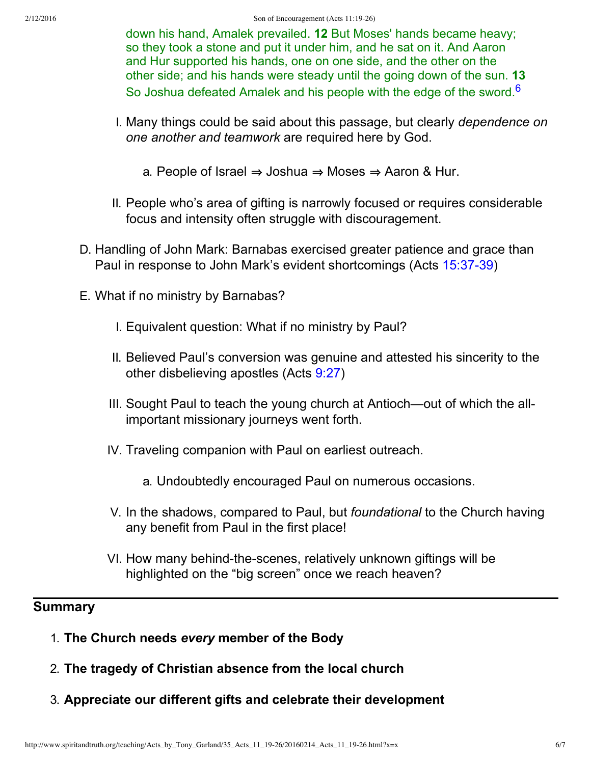<span id="page-5-0"></span>down his hand, Amalek prevailed. **12** But Moses' hands became heavy; so they took a stone and put it under him, and he sat on it. And Aaron and Hur supported his hands, one on one side, and the other on the other side; and his hands were steady until the going down of the sun. **13** So Joshua defeated Amalek and his people with the edge of the sword.<sup>[6](#page-6-7)</sup>

- I. Many things could be said about this passage, but clearly *dependence on one another and teamwork* are required here by God.
	- a. People of Israel  $\Rightarrow$  Joshua  $\Rightarrow$  Moses  $\Rightarrow$  Aaron & Hur.
- II. People who's area of gifting is narrowly focused or requires considerable focus and intensity often struggle with discouragement.
- D. Handling of John Mark: Barnabas exercised greater patience and grace than Paul in response to John Mark's evident shortcomings (Acts 15:37-39)
- E. What if no ministry by Barnabas?
	- I. Equivalent question: What if no ministry by Paul?
	- II. Believed Paul's conversion was genuine and attested his sincerity to the other disbelieving apostles (Acts [9:27](http://www.spiritandtruth.org/bibles/nasb/b44c009.htm#Acts_C9V27))
	- III. Sought Paul to teach the young church at Antioch—out of which the allimportant missionary journeys went forth.
	- IV. Traveling companion with Paul on earliest outreach.
		- a. Undoubtedly encouraged Paul on numerous occasions.
	- V. In the shadows, compared to Paul, but *foundational* to the Church having any benefit from Paul in the first place!
	- VI. How many behind-the-scenes, relatively unknown giftings will be highlighted on the "big screen" once we reach heaven?

# **Summary**

- 1. **The Church needs** *every* **member of the Body**
- 2. **The tragedy of Christian absence from the local church**
- 3. **Appreciate our different gifts and celebrate their development**